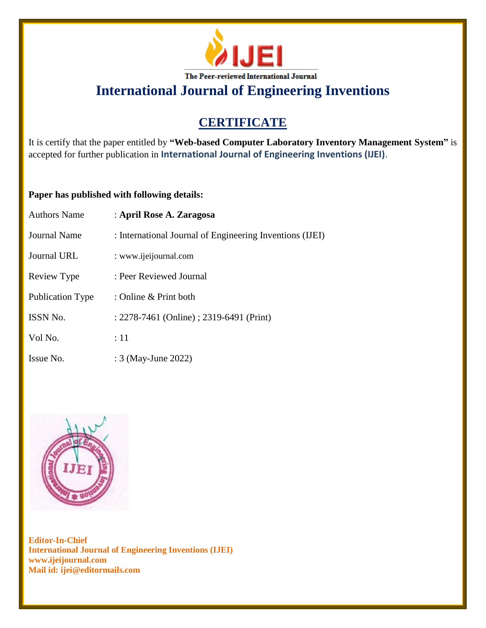

**International Journal of Engineering Inventions**

# **CERTIFICATE**

It is certify that the paper entitled by **"Web-based Computer Laboratory Inventory Management System"** is accepted for further publication in **International Journal of Engineering Inventions (IJEI)**.

### **Paper has published with following details:**

| <b>Authors Name</b>     | : April Rose A. Zaragosa                                 |
|-------------------------|----------------------------------------------------------|
| Journal Name            | : International Journal of Engineering Inventions (IJEI) |
| Journal URL             | : www.ijeijournal.com                                    |
| Review Type             | : Peer Reviewed Journal                                  |
| <b>Publication Type</b> | : Online $\&$ Print both                                 |
| <b>ISSN No.</b>         | : 2278-7461 (Online) ; 2319-6491 (Print)                 |
| Vol No.                 | :11                                                      |
| Issue No.               | : 3 (May-June 2022)                                      |



**Editor-In-Chief International Journal of Engineering Inventions (IJEI) www.ijeijournal.com Mail id: ijei@editormails.com**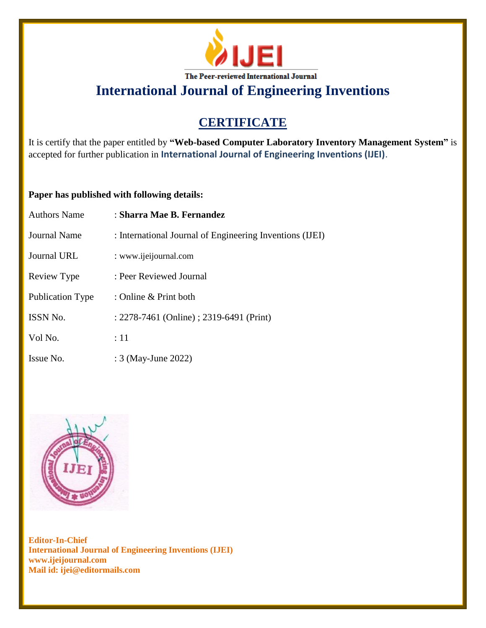

**International Journal of Engineering Inventions**

# **CERTIFICATE**

It is certify that the paper entitled by **"Web-based Computer Laboratory Inventory Management System"** is accepted for further publication in **International Journal of Engineering Inventions (IJEI)**.

#### **Paper has published with following details:**

| <b>Authors Name</b> | : Sharra Mae B. Fernandez                                |
|---------------------|----------------------------------------------------------|
| Journal Name        | : International Journal of Engineering Inventions (IJEI) |
| Journal URL         | : www.ijeijournal.com                                    |
| Review Type         | : Peer Reviewed Journal                                  |
| Publication Type    | : Online & Print both                                    |
| <b>ISSN No.</b>     | : 2278-7461 (Online) ; 2319-6491 (Print)                 |
| Vol No.             | :11                                                      |
| Issue No.           | : 3 (May-June 2022)                                      |



**Editor-In-Chief International Journal of Engineering Inventions (IJEI) www.ijeijournal.com Mail id: ijei@editormails.com**